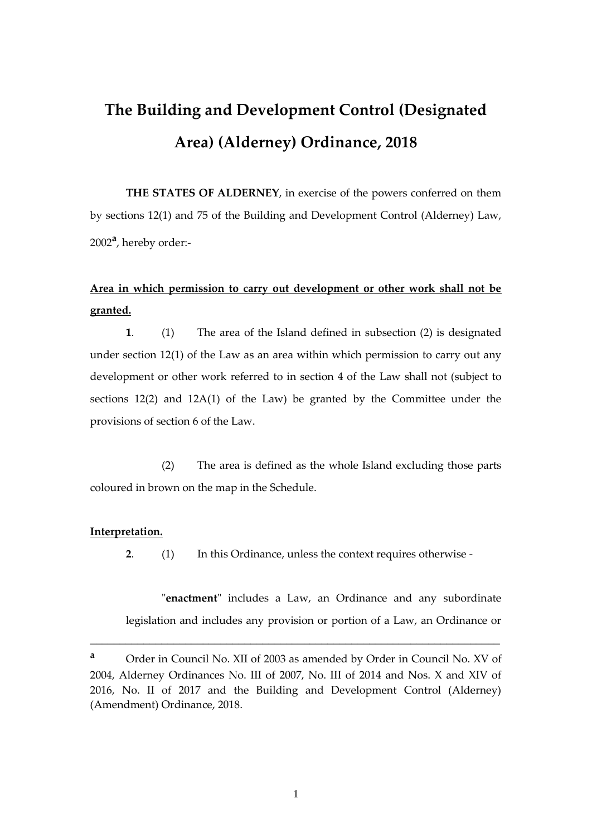# **The Building and Development Control (Designated Area) (Alderney) Ordinance, 2018**

**THE STATES OF ALDERNEY**, in exercise of the powers conferred on them by sections 12(1) and 75 of the Building and Development Control (Alderney) Law, 2002**<sup>a</sup>** , hereby order:-

## **Area in which permission to carry out development or other work shall not be granted.**

**1**. (1) The area of the Island defined in subsection (2) is designated under section 12(1) of the Law as an area within which permission to carry out any development or other work referred to in section 4 of the Law shall not (subject to sections 12(2) and 12A(1) of the Law) be granted by the Committee under the provisions of section 6 of the Law.

(2) The area is defined as the whole Island excluding those parts coloured in brown on the map in the Schedule.

#### **Interpretation.**

**2**. (1) In this Ordinance, unless the context requires otherwise -

"**enactment**" includes a Law, an Ordinance and any subordinate legislation and includes any provision or portion of a Law, an Ordinance or

\_\_\_\_\_\_\_\_\_\_\_\_\_\_\_\_\_\_\_\_\_\_\_\_\_\_\_\_\_\_\_\_\_\_\_\_\_\_\_\_\_\_\_\_\_\_\_\_\_\_\_\_\_\_\_\_\_\_\_\_\_\_\_\_\_\_\_\_\_

**<sup>a</sup>** Order in Council No. XII of 2003 as amended by Order in Council No. XV of 2004, Alderney Ordinances No. III of 2007, No. III of 2014 and Nos. X and XIV of 2016, No. II of 2017 and the Building and Development Control (Alderney) (Amendment) Ordinance, 2018.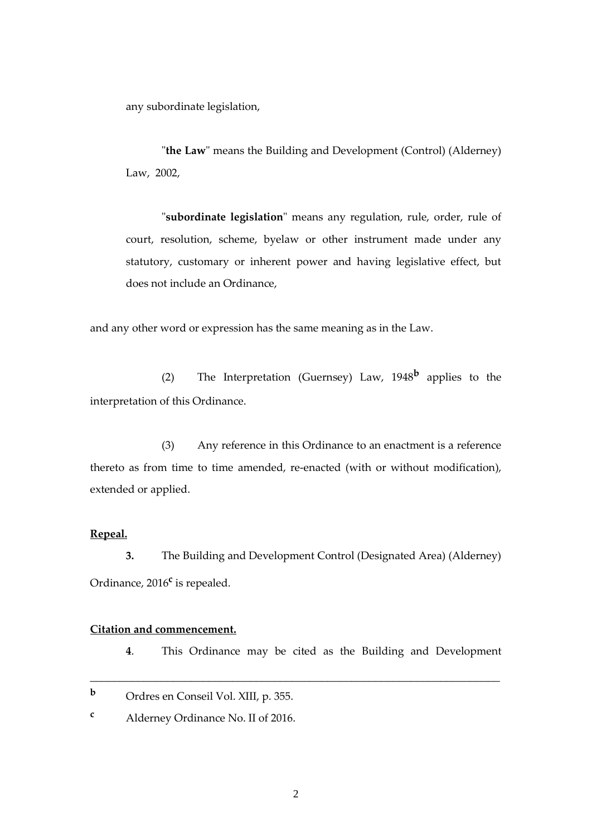any subordinate legislation,

"**the Law**" means the Building and Development (Control) (Alderney) Law, 2002,

"**subordinate legislation**" means any regulation, rule, order, rule of court, resolution, scheme, byelaw or other instrument made under any statutory, customary or inherent power and having legislative effect, but does not include an Ordinance,

and any other word or expression has the same meaning as in the Law.

(2) The Interpretation (Guernsey) Law, 1948**<sup>b</sup>** applies to the interpretation of this Ordinance.

(3) Any reference in this Ordinance to an enactment is a reference thereto as from time to time amended, re-enacted (with or without modification), extended or applied.

#### **Repeal.**

**3.** The Building and Development Control (Designated Area) (Alderney) Ordinance, 2016**<sup>c</sup>** is repealed.

\_\_\_\_\_\_\_\_\_\_\_\_\_\_\_\_\_\_\_\_\_\_\_\_\_\_\_\_\_\_\_\_\_\_\_\_\_\_\_\_\_\_\_\_\_\_\_\_\_\_\_\_\_\_\_\_\_\_\_\_\_\_\_\_\_\_\_\_\_

## **Citation and commencement.**

**4**. This Ordinance may be cited as the Building and Development

- **<sup>b</sup>** Ordres en Conseil Vol. XIII, p. 355.
- **<sup>c</sup>** Alderney Ordinance No. II of 2016.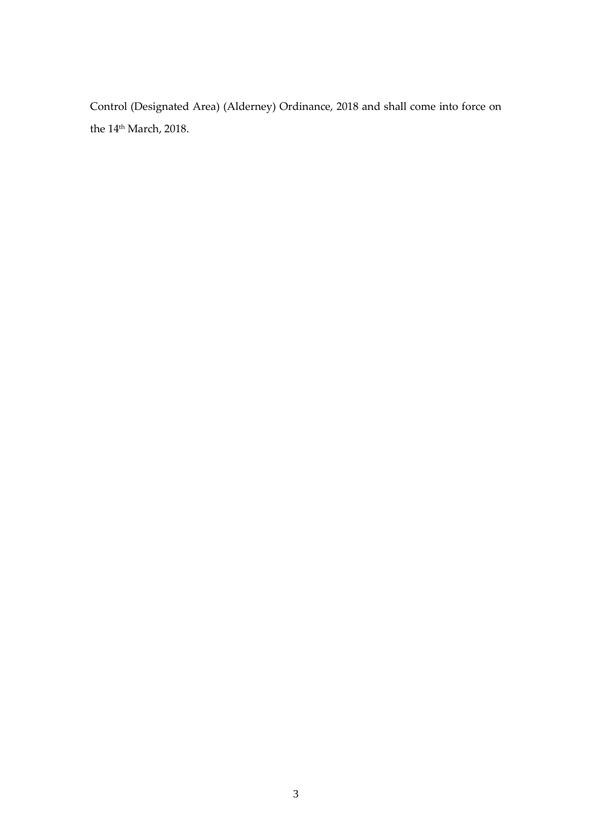Control (Designated Area) (Alderney) Ordinance, 2018 and shall come into force on the  $14^{\text{th}}$  March, 2018.